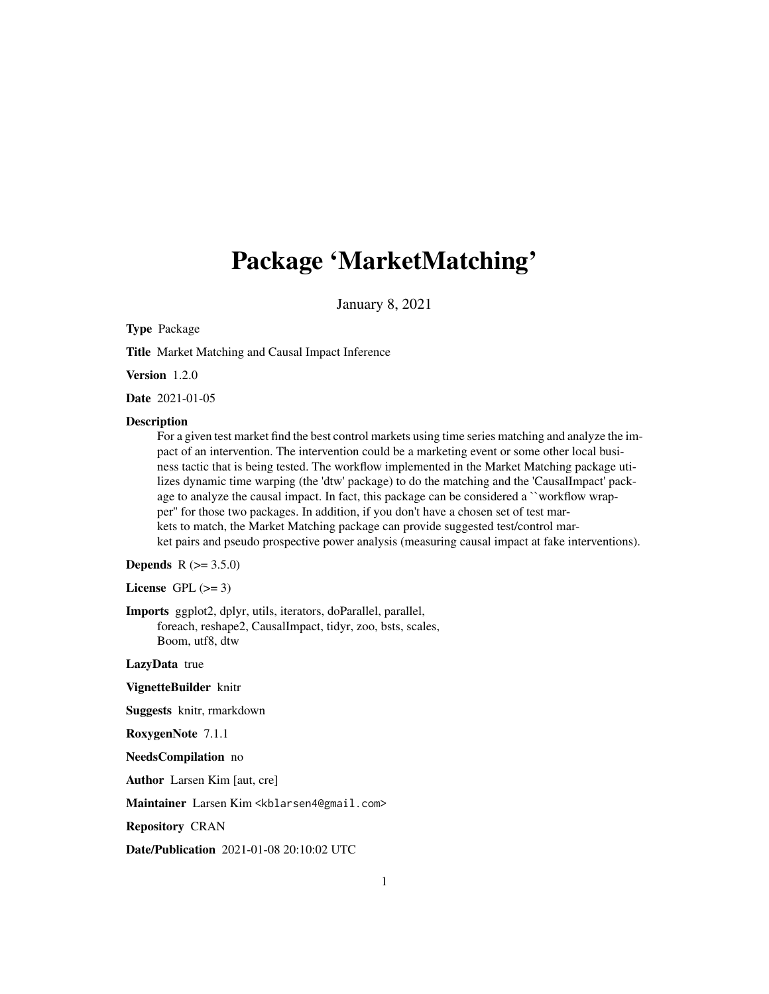## Package 'MarketMatching'

January 8, 2021

#### Type Package

Title Market Matching and Causal Impact Inference

Version 1.2.0

Date 2021-01-05

#### **Description**

For a given test market find the best control markets using time series matching and analyze the impact of an intervention. The intervention could be a marketing event or some other local business tactic that is being tested. The workflow implemented in the Market Matching package utilizes dynamic time warping (the 'dtw' package) to do the matching and the 'CausalImpact' package to analyze the causal impact. In fact, this package can be considered a ``workflow wrapper'' for those two packages. In addition, if you don't have a chosen set of test markets to match, the Market Matching package can provide suggested test/control market pairs and pseudo prospective power analysis (measuring causal impact at fake interventions).

**Depends** R  $(>= 3.5.0)$ 

License GPL  $(>= 3)$ 

Imports ggplot2, dplyr, utils, iterators, doParallel, parallel, foreach, reshape2, CausalImpact, tidyr, zoo, bsts, scales, Boom, utf8, dtw

LazyData true

VignetteBuilder knitr

Suggests knitr, rmarkdown

RoxygenNote 7.1.1

NeedsCompilation no

Author Larsen Kim [aut, cre]

Maintainer Larsen Kim <kblarsen4@gmail.com>

Repository CRAN

Date/Publication 2021-01-08 20:10:02 UTC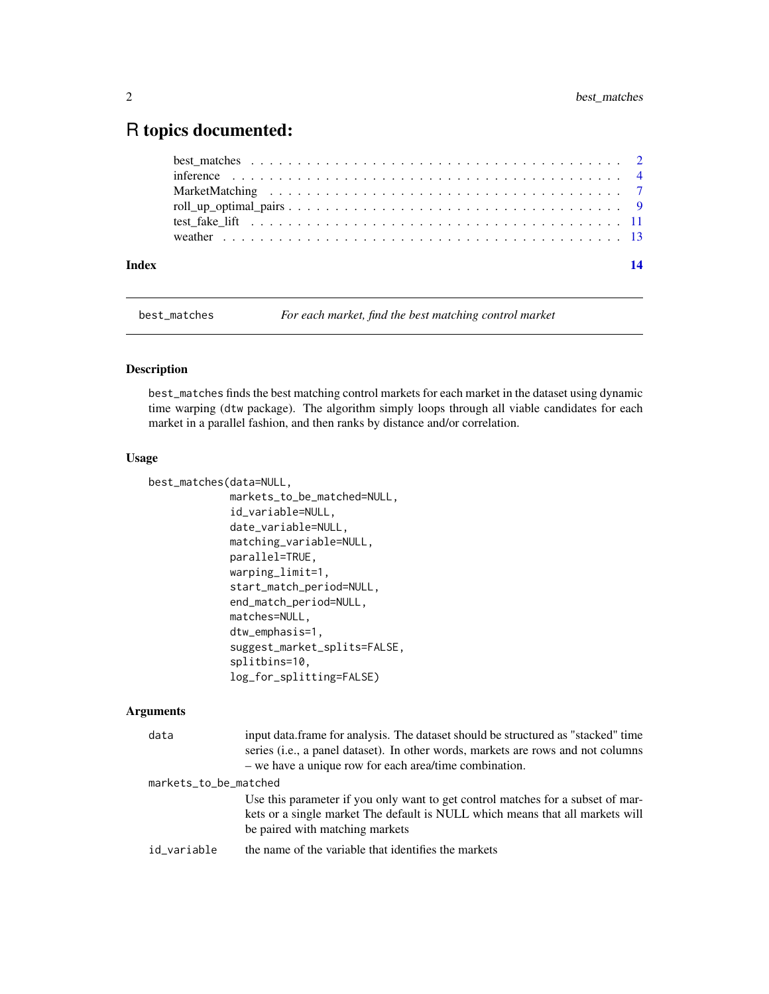### <span id="page-1-0"></span>R topics documented:

| Index | 14 |
|-------|----|
|       |    |
|       |    |
|       |    |
|       |    |
|       |    |
|       |    |

best\_matches *For each market, find the best matching control market*

#### Description

best\_matches finds the best matching control markets for each market in the dataset using dynamic time warping (dtw package). The algorithm simply loops through all viable candidates for each market in a parallel fashion, and then ranks by distance and/or correlation.

#### Usage

```
best_matches(data=NULL,
             markets_to_be_matched=NULL,
             id_variable=NULL,
             date_variable=NULL,
             matching_variable=NULL,
             parallel=TRUE,
             warping_limit=1,
             start_match_period=NULL,
             end_match_period=NULL,
             matches=NULL,
             dtw_emphasis=1,
             suggest_market_splits=FALSE,
             splitbins=10,
             log_for_splitting=FALSE)
```
#### Arguments

| data                  | input data. frame for analysis. The dataset should be structured as "stacked" time<br>series (i.e., a panel dataset). In other words, markets are rows and not columns<br>- we have a unique row for each area/time combination. |  |
|-----------------------|----------------------------------------------------------------------------------------------------------------------------------------------------------------------------------------------------------------------------------|--|
| markets_to_be_matched |                                                                                                                                                                                                                                  |  |
|                       | Use this parameter if you only want to get control matches for a subset of mar-<br>kets or a single market The default is NULL which means that all markets will<br>be paired with matching markets                              |  |
| id_variable           | the name of the variable that identifies the markets                                                                                                                                                                             |  |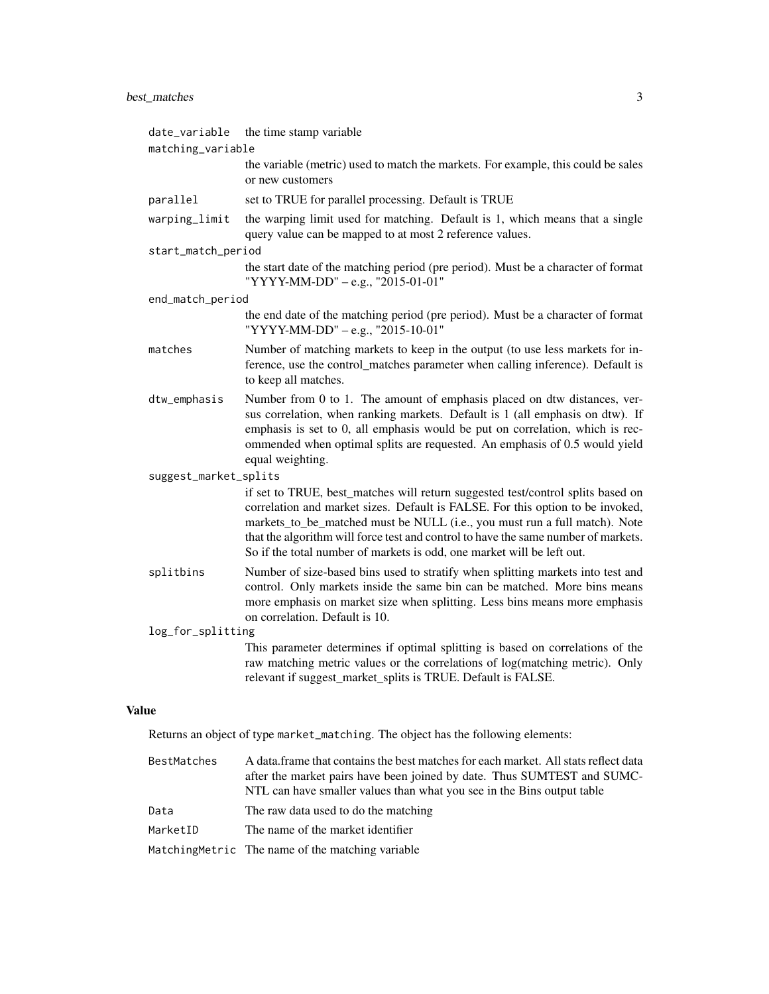#### best\_matches 3

| matching_variable<br>the variable (metric) used to match the markets. For example, this could be sales<br>or new customers                                                                                                                                                                                                                                                                                      |  |  |
|-----------------------------------------------------------------------------------------------------------------------------------------------------------------------------------------------------------------------------------------------------------------------------------------------------------------------------------------------------------------------------------------------------------------|--|--|
|                                                                                                                                                                                                                                                                                                                                                                                                                 |  |  |
|                                                                                                                                                                                                                                                                                                                                                                                                                 |  |  |
| set to TRUE for parallel processing. Default is TRUE                                                                                                                                                                                                                                                                                                                                                            |  |  |
| the warping limit used for matching. Default is 1, which means that a single<br>query value can be mapped to at most 2 reference values.                                                                                                                                                                                                                                                                        |  |  |
| start_match_period                                                                                                                                                                                                                                                                                                                                                                                              |  |  |
| the start date of the matching period (pre period). Must be a character of format<br>"YYYY-MM-DD" - e.g., "2015-01-01"                                                                                                                                                                                                                                                                                          |  |  |
| end_match_period                                                                                                                                                                                                                                                                                                                                                                                                |  |  |
| the end date of the matching period (pre period). Must be a character of format<br>"YYYY-MM-DD" - e.g., "2015-10-01"                                                                                                                                                                                                                                                                                            |  |  |
| Number of matching markets to keep in the output (to use less markets for in-<br>ference, use the control_matches parameter when calling inference). Default is<br>to keep all matches.                                                                                                                                                                                                                         |  |  |
| Number from 0 to 1. The amount of emphasis placed on dtw distances, ver-<br>sus correlation, when ranking markets. Default is 1 (all emphasis on dtw). If<br>emphasis is set to 0, all emphasis would be put on correlation, which is rec-<br>ommended when optimal splits are requested. An emphasis of 0.5 would yield<br>equal weighting.                                                                    |  |  |
| suggest_market_splits                                                                                                                                                                                                                                                                                                                                                                                           |  |  |
| if set to TRUE, best_matches will return suggested test/control splits based on<br>correlation and market sizes. Default is FALSE. For this option to be invoked,<br>markets_to_be_matched must be NULL (i.e., you must run a full match). Note<br>that the algorithm will force test and control to have the same number of markets.<br>So if the total number of markets is odd, one market will be left out. |  |  |
| Number of size-based bins used to stratify when splitting markets into test and<br>control. Only markets inside the same bin can be matched. More bins means<br>more emphasis on market size when splitting. Less bins means more emphasis<br>on correlation. Default is 10.                                                                                                                                    |  |  |
| log_for_splitting                                                                                                                                                                                                                                                                                                                                                                                               |  |  |
| This parameter determines if optimal splitting is based on correlations of the<br>raw matching metric values or the correlations of log(matching metric). Only<br>relevant if suggest_market_splits is TRUE. Default is FALSE.                                                                                                                                                                                  |  |  |
|                                                                                                                                                                                                                                                                                                                                                                                                                 |  |  |

#### Value

Returns an object of type market\_matching. The object has the following elements:

| BestMatches | A data frame that contains the best matches for each market. All stats reflect data<br>after the market pairs have been joined by date. Thus SUMTEST and SUMC-<br>NTL can have smaller values than what you see in the Bins output table |
|-------------|------------------------------------------------------------------------------------------------------------------------------------------------------------------------------------------------------------------------------------------|
| Data        | The raw data used to do the matching                                                                                                                                                                                                     |
| MarketID    | The name of the market identifier                                                                                                                                                                                                        |
|             | Matching Metric The name of the matching variable                                                                                                                                                                                        |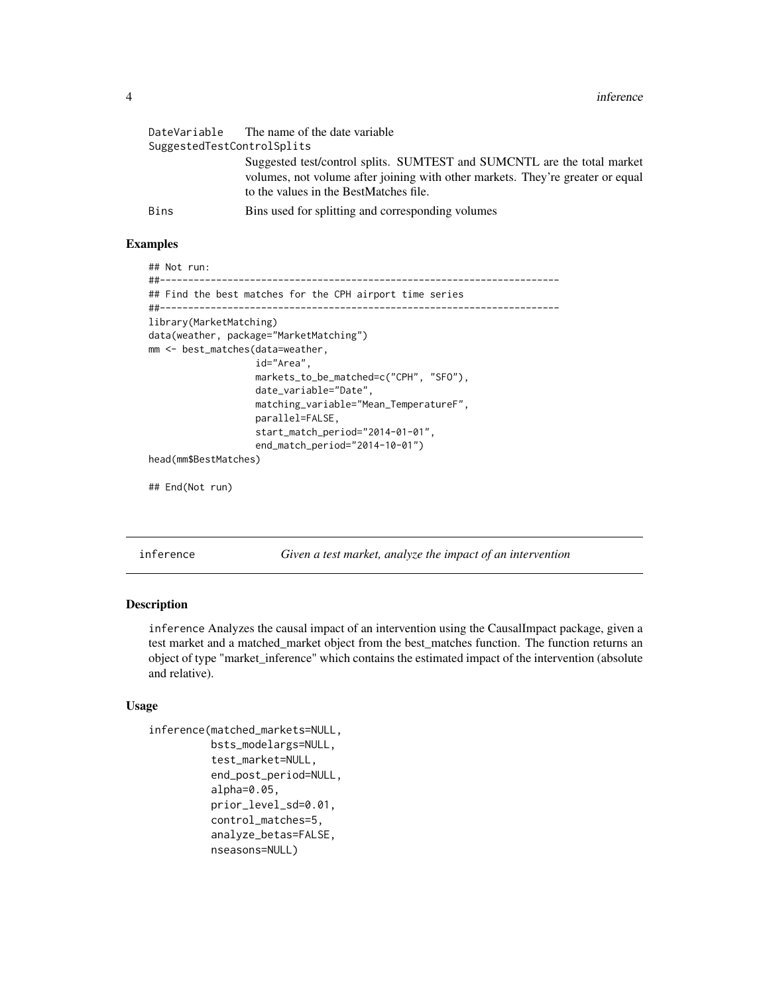<span id="page-3-0"></span>

| SuggestedTestControlSplits | DateVariable The name of the date variable                                                                                                                                                          |
|----------------------------|-----------------------------------------------------------------------------------------------------------------------------------------------------------------------------------------------------|
|                            | Suggested test/control splits. SUMTEST and SUMCNTL are the total market<br>volumes, not volume after joining with other markets. They're greater or equal<br>to the values in the BestMatches file. |
| Bins                       | Bins used for splitting and corresponding volumes                                                                                                                                                   |

#### Examples

```
## Not run:
##-----------------------------------------------------------------------
## Find the best matches for the CPH airport time series
##-----------------------------------------------------------------------
library(MarketMatching)
data(weather, package="MarketMatching")
mm <- best_matches(data=weather,
                   id="Area",
                   markets_to_be_matched=c("CPH", "SFO"),
                   date_variable="Date",
                   matching_variable="Mean_TemperatureF",
                   parallel=FALSE,
                   start_match_period="2014-01-01",
                   end_match_period="2014-10-01")
head(mm$BestMatches)
```
## End(Not run)

inference *Given a test market, analyze the impact of an intervention*

#### Description

inference Analyzes the causal impact of an intervention using the CausalImpact package, given a test market and a matched\_market object from the best\_matches function. The function returns an object of type "market\_inference" which contains the estimated impact of the intervention (absolute and relative).

#### Usage

```
inference(matched_markets=NULL,
          bsts_modelargs=NULL,
          test_market=NULL,
          end_post_period=NULL,
          alpha=0.05,
          prior_level_sd=0.01,
          control_matches=5,
          analyze_betas=FALSE,
          nseasons=NULL)
```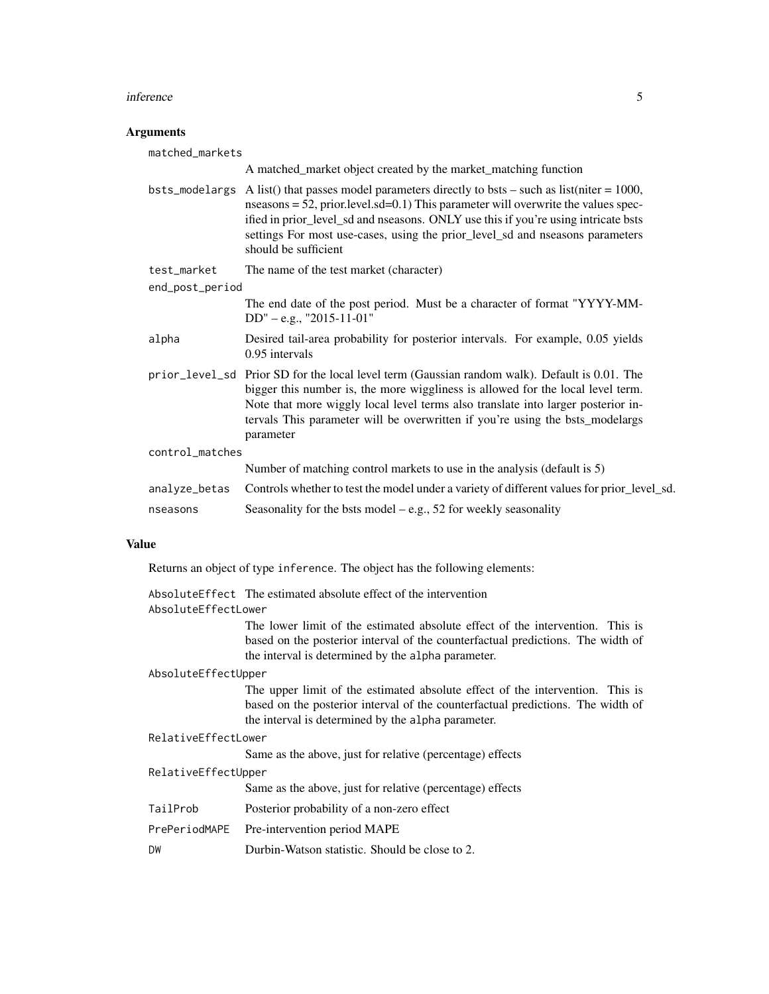#### inference 5

#### Arguments

| matched_markets |                                                                                                                                                                                                                                                                                                                                                                               |
|-----------------|-------------------------------------------------------------------------------------------------------------------------------------------------------------------------------------------------------------------------------------------------------------------------------------------------------------------------------------------------------------------------------|
|                 | A matched_market object created by the market_matching function                                                                                                                                                                                                                                                                                                               |
| bsts_modelargs  | A list() that passes model parameters directly to bsts – such as list(niter = $1000$ ,<br>nseasons = $52$ , prior.level.sd=0.1) This parameter will overwrite the values spec-<br>ified in prior_level_sd and nseasons. ONLY use this if you're using intricate bsts<br>settings For most use-cases, using the prior_level_sd and nseasons parameters<br>should be sufficient |
| test_market     | The name of the test market (character)                                                                                                                                                                                                                                                                                                                                       |
| end_post_period |                                                                                                                                                                                                                                                                                                                                                                               |
|                 | The end date of the post period. Must be a character of format "YYYY-MM-<br>$DD'' - e.g., "2015-11-01"$                                                                                                                                                                                                                                                                       |
| alpha           | Desired tail-area probability for posterior intervals. For example, 0.05 yields<br>0.95 intervals                                                                                                                                                                                                                                                                             |
|                 | prior_level_sd Prior SD for the local level term (Gaussian random walk). Default is 0.01. The<br>bigger this number is, the more wiggliness is allowed for the local level term.<br>Note that more wiggly local level terms also translate into larger posterior in-<br>tervals This parameter will be overwritten if you're using the bsts_modelargs<br>parameter            |
| control_matches |                                                                                                                                                                                                                                                                                                                                                                               |
|                 | Number of matching control markets to use in the analysis (default is 5)                                                                                                                                                                                                                                                                                                      |
| analyze_betas   | Controls whether to test the model under a variety of different values for prior_level_sd.                                                                                                                                                                                                                                                                                    |
| nseasons        | Seasonality for the bsts model $-e.g., 52$ for weekly seasonality                                                                                                                                                                                                                                                                                                             |

#### Value

Returns an object of type inference. The object has the following elements:

AbsoluteEffect The estimated absolute effect of the intervention

#### AbsoluteEffectLower

The lower limit of the estimated absolute effect of the intervention. This is based on the posterior interval of the counterfactual predictions. The width of the interval is determined by the alpha parameter.

#### AbsoluteEffectUpper

The upper limit of the estimated absolute effect of the intervention. This is based on the posterior interval of the counterfactual predictions. The width of the interval is determined by the alpha parameter.

#### RelativeEffectLower

Same as the above, just for relative (percentage) effects

#### RelativeEffectUpper

Same as the above, just for relative (percentage) effects

- TailProb Posterior probability of a non-zero effect
- PrePeriodMAPE Pre-intervention period MAPE
- DW Durbin-Watson statistic. Should be close to 2.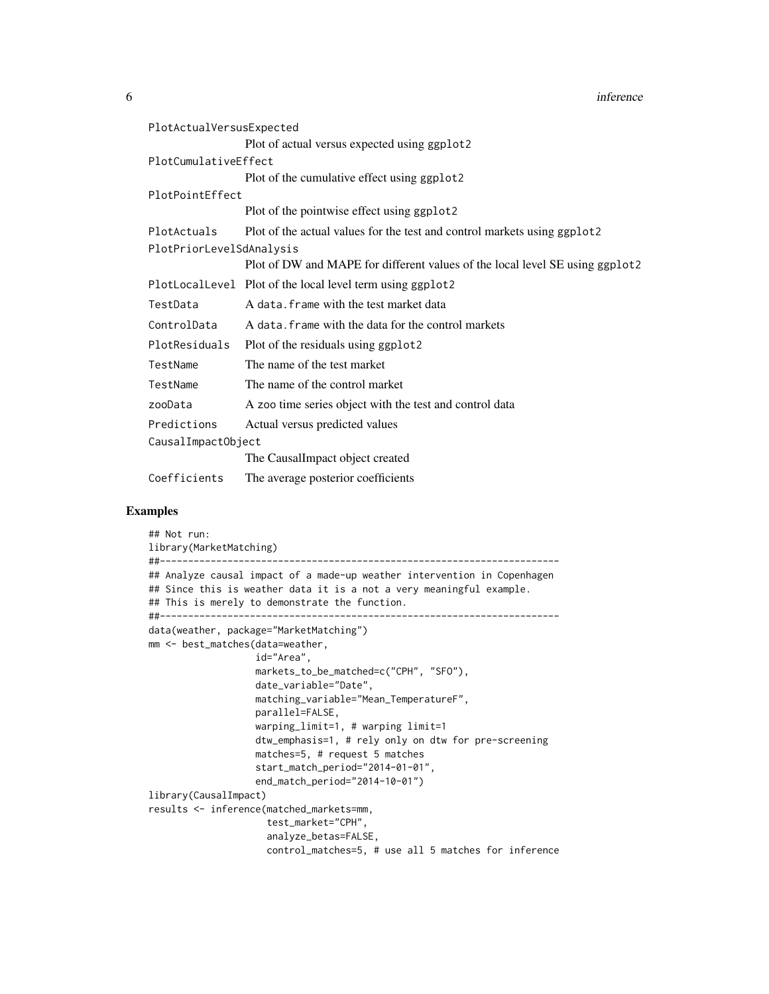**6** inference

| PlotActualVersusExpected |                                                                              |
|--------------------------|------------------------------------------------------------------------------|
|                          | Plot of actual versus expected using ggplot2                                 |
| PlotCumulativeEffect     |                                                                              |
|                          | Plot of the cumulative effect using ggplot2                                  |
| PlotPointEffect          |                                                                              |
|                          | Plot of the pointwise effect using ggplot2                                   |
| PlotActuals              | Plot of the actual values for the test and control markets using ggplot2     |
| PlotPriorLevelSdAnalysis |                                                                              |
|                          | Plot of DW and MAPE for different values of the local level SE using ggplot2 |
|                          | PlotLocalLevel Plot of the local level term using ggplot2                    |
| TestData                 | A data, frame with the test market data                                      |
| ControlData              | A data. frame with the data for the control markets                          |
| PlotResiduals            | Plot of the residuals using ggplot2                                          |
| TestName                 | The name of the test market                                                  |
| TestName                 | The name of the control market                                               |
| zooData                  | A zoo time series object with the test and control data                      |
| Predictions              | Actual versus predicted values                                               |
| CausalImpactObject       |                                                                              |
|                          | The CausalImpact object created                                              |
| Coefficients             | The average posterior coefficients                                           |

#### Examples

```
## Not run:
library(MarketMatching)
##-----------------------------------------------------------------------
## Analyze causal impact of a made-up weather intervention in Copenhagen
## Since this is weather data it is a not a very meaningful example.
## This is merely to demonstrate the function.
##-----------------------------------------------------------------------
data(weather, package="MarketMatching")
mm <- best_matches(data=weather,
                   id="Area",
                   markets_to_be_matched=c("CPH", "SFO"),
                   date_variable="Date",
                   matching_variable="Mean_TemperatureF",
                   parallel=FALSE,
                   warping_limit=1, # warping limit=1
                   dtw_emphasis=1, # rely only on dtw for pre-screening
                   matches=5, # request 5 matches
                   start_match_period="2014-01-01",
                   end_match_period="2014-10-01")
library(CausalImpact)
results <- inference(matched_markets=mm,
                    test_market="CPH",
                     analyze_betas=FALSE,
                     control_matches=5, # use all 5 matches for inference
```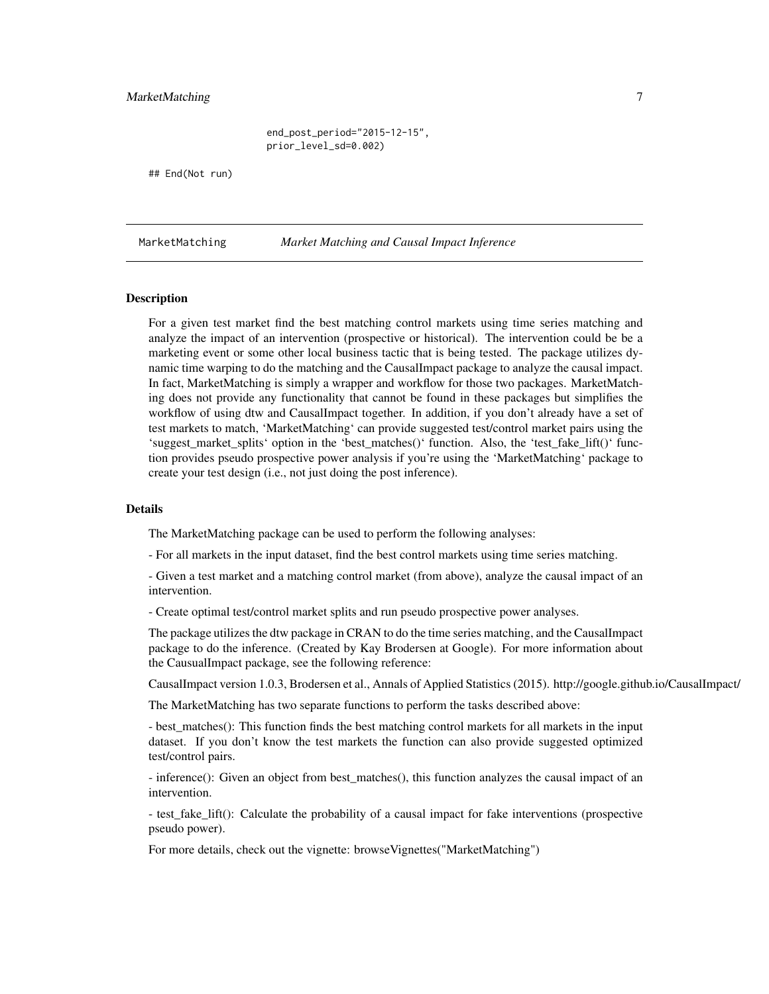#### <span id="page-6-0"></span>MarketMatching 7

end\_post\_period="2015-12-15", prior\_level\_sd=0.002)

## End(Not run)

MarketMatching *Market Matching and Causal Impact Inference*

#### Description

For a given test market find the best matching control markets using time series matching and analyze the impact of an intervention (prospective or historical). The intervention could be be a marketing event or some other local business tactic that is being tested. The package utilizes dynamic time warping to do the matching and the CausalImpact package to analyze the causal impact. In fact, MarketMatching is simply a wrapper and workflow for those two packages. MarketMatching does not provide any functionality that cannot be found in these packages but simplifies the workflow of using dtw and CausalImpact together. In addition, if you don't already have a set of test markets to match, 'MarketMatching' can provide suggested test/control market pairs using the 'suggest market splits' option in the 'best matches()' function. Also, the 'test fake lift()' function provides pseudo prospective power analysis if you're using the 'MarketMatching' package to create your test design (i.e., not just doing the post inference).

#### Details

The MarketMatching package can be used to perform the following analyses:

- For all markets in the input dataset, find the best control markets using time series matching.

- Given a test market and a matching control market (from above), analyze the causal impact of an intervention.

- Create optimal test/control market splits and run pseudo prospective power analyses.

The package utilizes the dtw package in CRAN to do the time series matching, and the CausalImpact package to do the inference. (Created by Kay Brodersen at Google). For more information about the CausualImpact package, see the following reference:

CausalImpact version 1.0.3, Brodersen et al., Annals of Applied Statistics (2015). http://google.github.io/CausalImpact/

The MarketMatching has two separate functions to perform the tasks described above:

- best matches(): This function finds the best matching control markets for all markets in the input dataset. If you don't know the test markets the function can also provide suggested optimized test/control pairs.

- inference(): Given an object from best\_matches(), this function analyzes the causal impact of an intervention.

- test\_fake\_lift(): Calculate the probability of a causal impact for fake interventions (prospective pseudo power).

For more details, check out the vignette: browseVignettes("MarketMatching")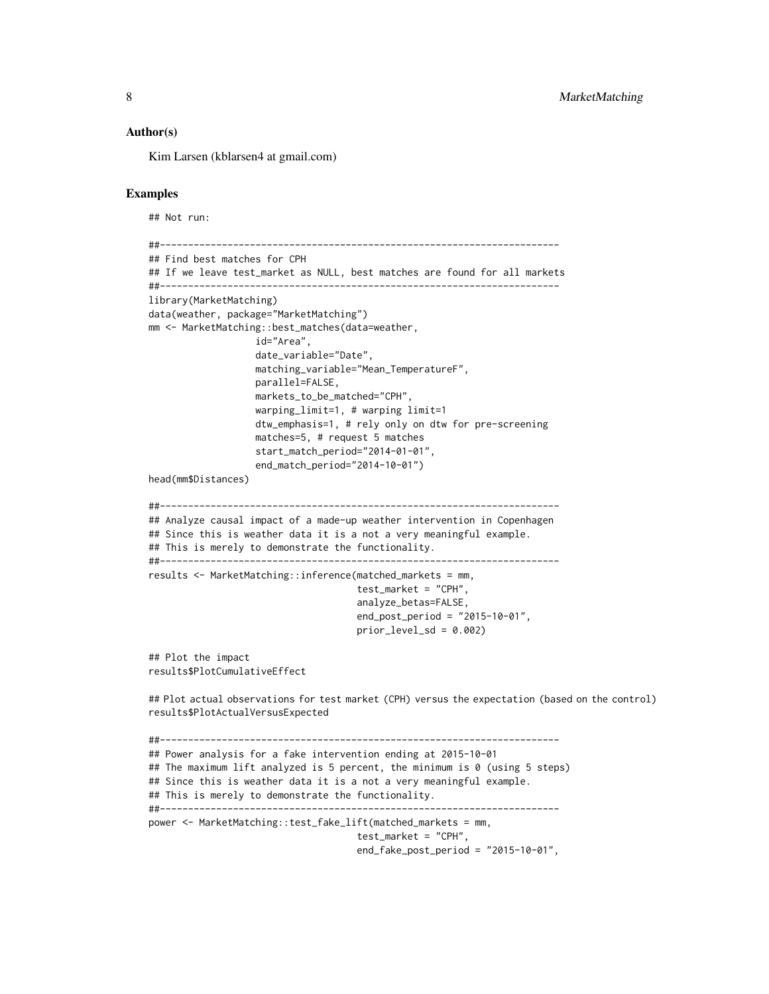#### Author(s)

Kim Larsen (kblarsen4 at gmail.com)

#### Examples

```
## Not run:
```

```
##-----------------------------------------------------------------------
## Find best matches for CPH
## If we leave test_market as NULL, best matches are found for all markets
##-----------------------------------------------------------------------
library(MarketMatching)
data(weather, package="MarketMatching")
mm <- MarketMatching::best_matches(data=weather,
                   id="Area",
                   date_variable="Date",
                   matching_variable="Mean_TemperatureF",
                   parallel=FALSE,
                   markets_to_be_matched="CPH",
                   warping_limit=1, # warping limit=1
                   dtw_emphasis=1, # rely only on dtw for pre-screening
                   matches=5, # request 5 matches
                   start_match_period="2014-01-01",
                   end_match_period="2014-10-01")
head(mm$Distances)
##-----------------------------------------------------------------------
## Analyze causal impact of a made-up weather intervention in Copenhagen
## Since this is weather data it is a not a very meaningful example.
## This is merely to demonstrate the functionality.
##-----------------------------------------------------------------------
results <- MarketMatching::inference(matched_markets = mm,
                                      test_market = "CPH",
                                      analyze_betas=FALSE,
                                      end_post_period = "2015-10-01",
                                      prior\_level\_sd = 0.002## Plot the impact
results$PlotCumulativeEffect
## Plot actual observations for test market (CPH) versus the expectation (based on the control)
results$PlotActualVersusExpected
##-----------------------------------------------------------------------
## Power analysis for a fake intervention ending at 2015-10-01
## The maximum lift analyzed is 5 percent, the minimum is 0 (using 5 steps)
## Since this is weather data it is a not a very meaningful example.
## This is merely to demonstrate the functionality.
##-----------------------------------------------------------------------
```
power <- MarketMatching::test\_fake\_lift(matched\_markets = mm, test\_market = "CPH",

```
end_fake_post_period = "2015-10-01",
```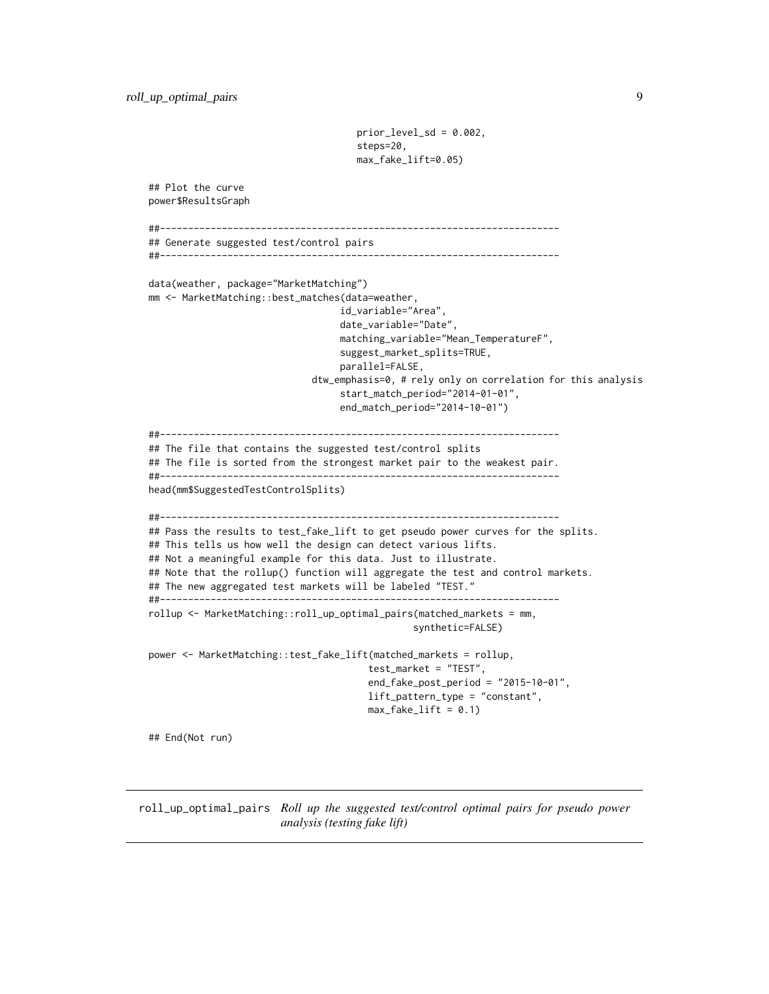```
prior_level_sd = 0.002,
                                     steps=20,
                                     max_fake_lift=0.05)
## Plot the curve
power$ResultsGraph
##-----------------------------------------------------------------------
## Generate suggested test/control pairs
##-----------------------------------------------------------------------
data(weather, package="MarketMatching")
mm <- MarketMatching::best_matches(data=weather,
                                  id_variable="Area",
                                  date_variable="Date",
                                  matching_variable="Mean_TemperatureF",
                                  suggest_market_splits=TRUE,
                                  parallel=FALSE,
                             dtw_emphasis=0, # rely only on correlation for this analysis
                                  start_match_period="2014-01-01",
                                  end_match_period="2014-10-01")
##-----------------------------------------------------------------------
## The file that contains the suggested test/control splits
## The file is sorted from the strongest market pair to the weakest pair.
##-----------------------------------------------------------------------
head(mm$SuggestedTestControlSplits)
##-----------------------------------------------------------------------
## Pass the results to test_fake_lift to get pseudo power curves for the splits.
## This tells us how well the design can detect various lifts.
## Not a meaningful example for this data. Just to illustrate.
## Note that the rollup() function will aggregate the test and control markets.
## The new aggregated test markets will be labeled "TEST."
##-----------------------------------------------------------------------
rollup <- MarketMatching::roll_up_optimal_pairs(matched_markets = mm,
                                               synthetic=FALSE)
power <- MarketMatching::test_fake_lift(matched_markets = rollup,
                                       test_market = "TEST",
                                       end_fake_post_period = "2015-10-01",
                                       lift_pattern_type = "constant",
                                       max_fake_lift = 0.1## End(Not run)
```
roll\_up\_optimal\_pairs *Roll up the suggested test/control optimal pairs for pseudo power analysis (testing fake lift)*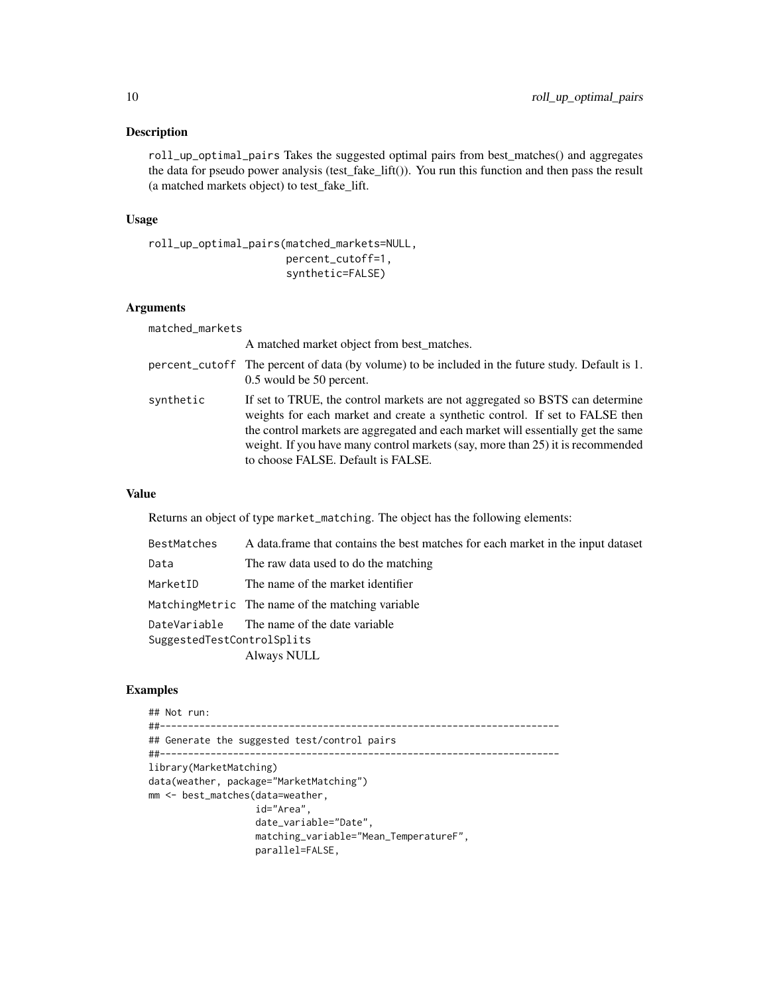#### Description

roll\_up\_optimal\_pairs Takes the suggested optimal pairs from best\_matches() and aggregates the data for pseudo power analysis (test\_fake\_lift()). You run this function and then pass the result (a matched markets object) to test\_fake\_lift.

#### Usage

```
roll_up_optimal_pairs(matched_markets=NULL,
                      percent_cutoff=1,
                      synthetic=FALSE)
```
#### Arguments

matched\_markets

|           | A matched market object from best matches.                                                                                                                                                                                                                                                                                                                               |
|-----------|--------------------------------------------------------------------------------------------------------------------------------------------------------------------------------------------------------------------------------------------------------------------------------------------------------------------------------------------------------------------------|
|           | percent_cutoff The percent of data (by volume) to be included in the future study. Default is 1.<br>0.5 would be 50 percent.                                                                                                                                                                                                                                             |
| synthetic | If set to TRUE, the control markets are not aggregated so BSTS can determine<br>weights for each market and create a synthetic control. If set to FALSE then<br>the control markets are aggregated and each market will essentially get the same<br>weight. If you have many control markets (say, more than 25) it is recommended<br>to choose FALSE. Default is FALSE. |

#### Value

Returns an object of type market\_matching. The object has the following elements:

| BestMatches                                                              | A data frame that contains the best matches for each market in the input dataset |
|--------------------------------------------------------------------------|----------------------------------------------------------------------------------|
| Data                                                                     | The raw data used to do the matching                                             |
| MarketID                                                                 | The name of the market identifier                                                |
|                                                                          | MatchingMetric The name of the matching variable                                 |
| DateVariable The name of the date variable<br>SuggestedTestControlSplits |                                                                                  |
|                                                                          | Always NULL                                                                      |

#### Examples

```
## Not run:
##-----------------------------------------------------------------------
## Generate the suggested test/control pairs
##-----------------------------------------------------------------------
library(MarketMatching)
data(weather, package="MarketMatching")
mm <- best_matches(data=weather,
                   id="Area",
                   date_variable="Date",
                   matching_variable="Mean_TemperatureF",
                   parallel=FALSE,
```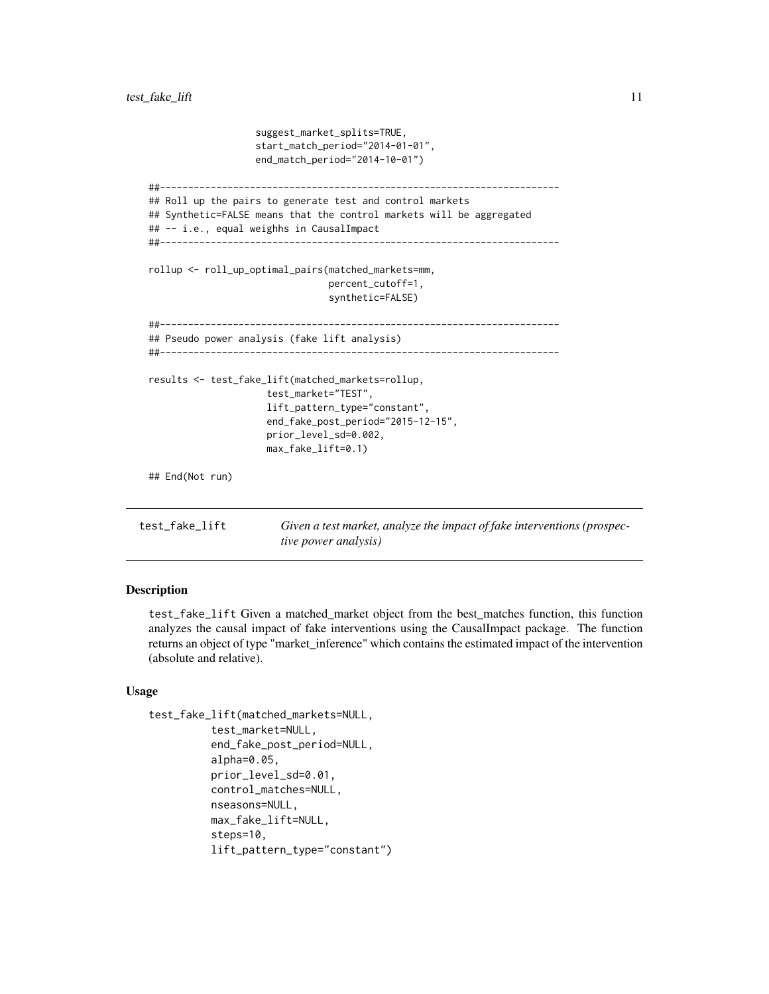```
suggest_market_splits=TRUE,
                     start_match_period="2014-01-01",
                    end_match_period="2014-10-01")
 ##-----------------------------------------------------------------------
 ## Roll up the pairs to generate test and control markets
 ## Synthetic=FALSE means that the control markets will be aggregated
 ## -- i.e., equal weighhs in CausalImpact
 ##-----------------------------------------------------------------------
 rollup <- roll_up_optimal_pairs(matched_markets=mm,
                                  percent_cutoff=1,
                                  synthetic=FALSE)
 ##-----------------------------------------------------------------------
 ## Pseudo power analysis (fake lift analysis)
 ##-----------------------------------------------------------------------
 results <- test_fake_lift(matched_markets=rollup,
                      test_market="TEST",
                      lift_pattern_type="constant",
                      end_fake_post_period="2015-12-15",
                      prior_level_sd=0.002,
                      max_fake_lift=0.1)
 ## End(Not run)
test_fake_lift Given a test market, analyze the impact of fake interventions (prospec-
                         tive power analysis)
```
#### Description

test\_fake\_lift Given a matched\_market object from the best\_matches function, this function analyzes the causal impact of fake interventions using the CausalImpact package. The function returns an object of type "market\_inference" which contains the estimated impact of the intervention (absolute and relative).

#### Usage

```
test_fake_lift(matched_markets=NULL,
          test_market=NULL,
          end_fake_post_period=NULL,
          alpha=0.05,
          prior_level_sd=0.01,
          control_matches=NULL,
          nseasons=NULL,
          max_fake_lift=NULL,
          steps=10,
          lift_pattern_type="constant")
```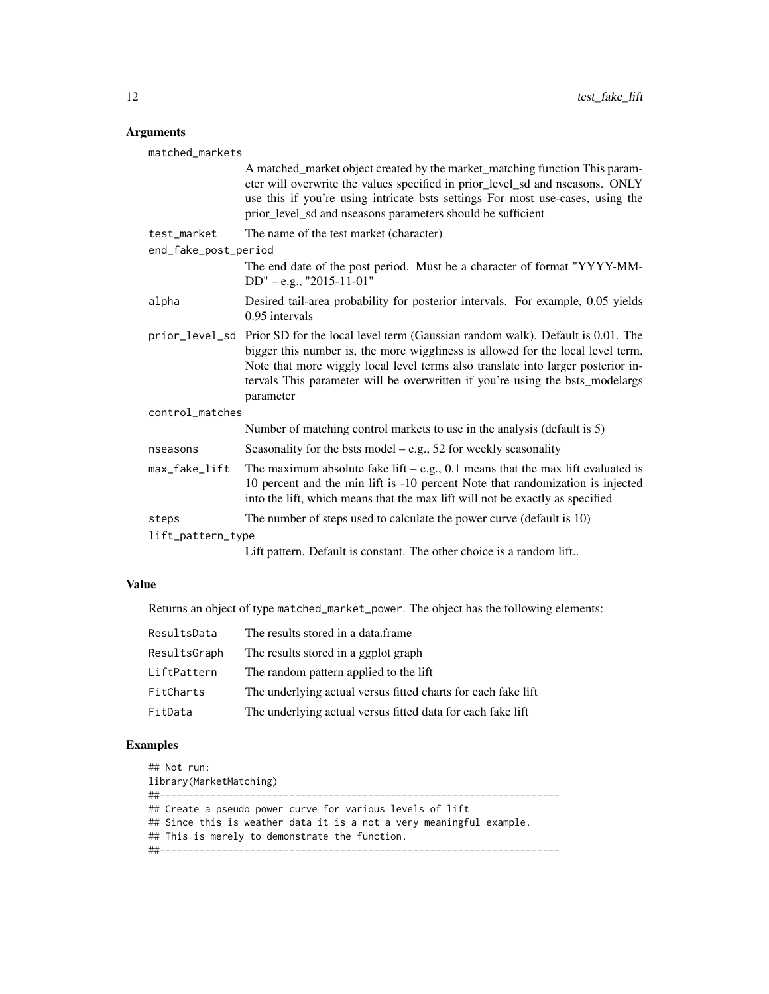#### Arguments

| matched_markets      |                                                                                                                                                                                                                                                                                                                                                                    |  |  |
|----------------------|--------------------------------------------------------------------------------------------------------------------------------------------------------------------------------------------------------------------------------------------------------------------------------------------------------------------------------------------------------------------|--|--|
|                      | A matched_market object created by the market_matching function This param-<br>eter will overwrite the values specified in prior_level_sd and nseasons. ONLY<br>use this if you're using intricate bsts settings For most use-cases, using the<br>prior_level_sd and nseasons parameters should be sufficient                                                      |  |  |
| test_market          | The name of the test market (character)                                                                                                                                                                                                                                                                                                                            |  |  |
| end_fake_post_period |                                                                                                                                                                                                                                                                                                                                                                    |  |  |
|                      | The end date of the post period. Must be a character of format "YYYY-MM-<br>$DD'' - e.g., "2015-11-01"$                                                                                                                                                                                                                                                            |  |  |
| alpha                | Desired tail-area probability for posterior intervals. For example, 0.05 yields<br>$0.95$ intervals                                                                                                                                                                                                                                                                |  |  |
|                      | prior_level_sd Prior SD for the local level term (Gaussian random walk). Default is 0.01. The<br>bigger this number is, the more wiggliness is allowed for the local level term.<br>Note that more wiggly local level terms also translate into larger posterior in-<br>tervals This parameter will be overwritten if you're using the bsts_modelargs<br>parameter |  |  |
| control_matches      |                                                                                                                                                                                                                                                                                                                                                                    |  |  |
|                      | Number of matching control markets to use in the analysis (default is 5)                                                                                                                                                                                                                                                                                           |  |  |
| nseasons             | Seasonality for the bsts model $-e.g., 52$ for weekly seasonality                                                                                                                                                                                                                                                                                                  |  |  |
| max_fake_lift        | The maximum absolute fake lift $-$ e.g., 0.1 means that the max lift evaluated is<br>10 percent and the min lift is -10 percent Note that randomization is injected<br>into the lift, which means that the max lift will not be exactly as specified                                                                                                               |  |  |
| steps                | The number of steps used to calculate the power curve (default is 10)                                                                                                                                                                                                                                                                                              |  |  |
| lift_pattern_type    |                                                                                                                                                                                                                                                                                                                                                                    |  |  |
|                      | Lift pattern. Default is constant. The other choice is a random lift                                                                                                                                                                                                                                                                                               |  |  |

#### Value

Returns an object of type matched\_market\_power. The object has the following elements:

| ResultsData  | The results stored in a data.frame                            |
|--------------|---------------------------------------------------------------|
| ResultsGraph | The results stored in a ggplot graph                          |
| LiftPattern  | The random pattern applied to the lift                        |
| FitCharts    | The underlying actual versus fitted charts for each fake lift |
| FitData      | The underlying actual versus fitted data for each fake lift   |

#### Examples

## Not run: library(MarketMatching) ##----------------------------------------------------------------------- ## Create a pseudo power curve for various levels of lift ## Since this is weather data it is a not a very meaningful example. ## This is merely to demonstrate the function. ##-----------------------------------------------------------------------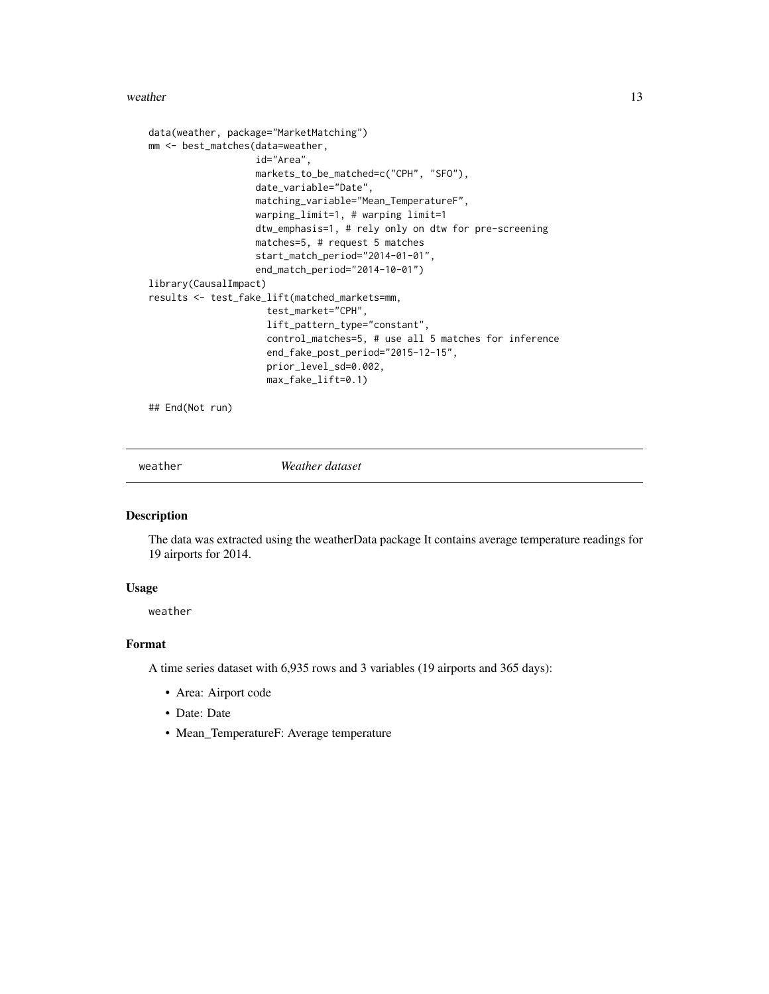#### <span id="page-12-0"></span>weather 13

```
data(weather, package="MarketMatching")
mm <- best_matches(data=weather,
                   id="Area",
                   markets_to_be_matched=c("CPH", "SFO"),
                   date_variable="Date",
                   matching_variable="Mean_TemperatureF",
                   warping_limit=1, # warping limit=1
                   dtw_emphasis=1, # rely only on dtw for pre-screening
                   matches=5, # request 5 matches
                   start_match_period="2014-01-01",
                   end_match_period="2014-10-01")
library(CausalImpact)
results <- test_fake_lift(matched_markets=mm,
                     test_market="CPH",
                     lift_pattern_type="constant",
                     control_matches=5, # use all 5 matches for inference
                     end_fake_post_period="2015-12-15",
                     prior_level_sd=0.002,
                     max_fake_lift=0.1)
```
## End(Not run)

weather *Weather dataset*

#### Description

The data was extracted using the weatherData package It contains average temperature readings for 19 airports for 2014.

#### Usage

weather

#### Format

A time series dataset with 6,935 rows and 3 variables (19 airports and 365 days):

- Area: Airport code
- Date: Date
- Mean\_TemperatureF: Average temperature